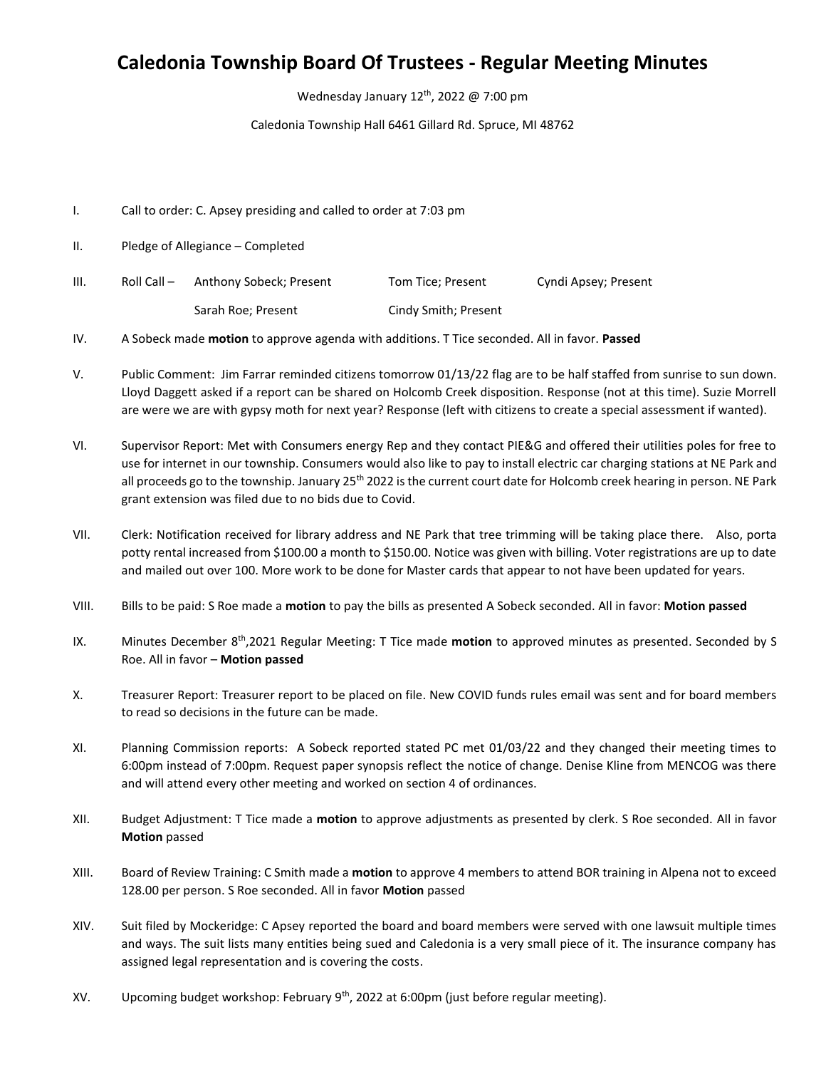## **Caledonia Township Board Of Trustees - Regular Meeting Minutes**

Wednesday January  $12^{th}$ , 2022 @ 7:00 pm

Caledonia Township Hall 6461 Gillard Rd. Spruce, MI 48762

- I. Call to order: C. Apsey presiding and called to order at 7:03 pm
- II. Pledge of Allegiance Completed
- III. Roll Call Anthony Sobeck; Present Tom Tice; Present Cyndi Apsey; Present Sarah Roe; Present Cindy Smith; Present

IV. A Sobeck made **motion** to approve agenda with additions. T Tice seconded. All in favor. **Passed**

- V. Public Comment: Jim Farrar reminded citizens tomorrow 01/13/22 flag are to be half staffed from sunrise to sun down. Lloyd Daggett asked if a report can be shared on Holcomb Creek disposition. Response (not at this time). Suzie Morrell are were we are with gypsy moth for next year? Response (left with citizens to create a special assessment if wanted).
- VI. Supervisor Report: Met with Consumers energy Rep and they contact PIE&G and offered their utilities poles for free to use for internet in our township. Consumers would also like to pay to install electric car charging stations at NE Park and all proceeds go to the township. January 25<sup>th</sup> 2022 is the current court date for Holcomb creek hearing in person. NE Park grant extension was filed due to no bids due to Covid.
- VII. Clerk: Notification received for library address and NE Park that tree trimming will be taking place there. Also, porta potty rental increased from \$100.00 a month to \$150.00. Notice was given with billing. Voter registrations are up to date and mailed out over 100. More work to be done for Master cards that appear to not have been updated for years.
- VIII. Bills to be paid: S Roe made a **motion** to pay the bills as presented A Sobeck seconded. All in favor: **Motion passed**
- IX. Minutes December 8<sup>th</sup>,2021 Regular Meeting: T Tice made **motion** to approved minutes as presented. Seconded by S Roe. All in favor – **Motion passed**
- X. Treasurer Report: Treasurer report to be placed on file. New COVID funds rules email was sent and for board members to read so decisions in the future can be made.
- XI. Planning Commission reports: A Sobeck reported stated PC met 01/03/22 and they changed their meeting times to 6:00pm instead of 7:00pm. Request paper synopsis reflect the notice of change. Denise Kline from MENCOG was there and will attend every other meeting and worked on section 4 of ordinances.
- XII. Budget Adjustment: T Tice made a **motion** to approve adjustments as presented by clerk. S Roe seconded. All in favor **Motion** passed
- XIII. Board of Review Training: C Smith made a **motion** to approve 4 members to attend BOR training in Alpena not to exceed 128.00 per person. S Roe seconded. All in favor **Motion** passed
- XIV. Suit filed by Mockeridge: C Apsey reported the board and board members were served with one lawsuit multiple times and ways. The suit lists many entities being sued and Caledonia is a very small piece of it. The insurance company has assigned legal representation and is covering the costs.
- XV. Upcoming budget workshop: February  $9<sup>th</sup>$ , 2022 at 6:00pm (just before regular meeting).